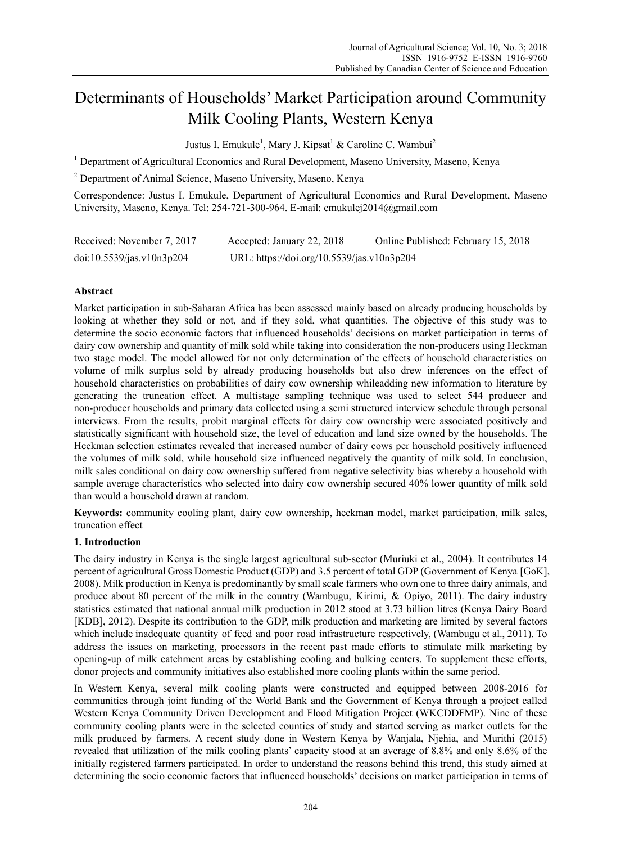# Determinants of Households' Market Participation around Community Milk Cooling Plants, Western Kenya

Justus I. Emukule<sup>1</sup>, Mary J. Kipsat<sup>1</sup> & Caroline C. Wambui<sup>2</sup>

<sup>1</sup> Department of Agricultural Economics and Rural Development, Maseno University, Maseno, Kenya

2 Department of Animal Science, Maseno University, Maseno, Kenya

Correspondence: Justus I. Emukule, Department of Agricultural Economics and Rural Development, Maseno University, Maseno, Kenya. Tel: 254-721-300-964. E-mail: emukulej2014@gmail.com

| Received: November 7, 2017 | Accepted: January 22, 2018                 | Online Published: February 15, 2018 |
|----------------------------|--------------------------------------------|-------------------------------------|
| doi:10.5539/jas.v10n3p204  | URL: https://doi.org/10.5539/jas.v10n3p204 |                                     |

# **Abstract**

Market participation in sub-Saharan Africa has been assessed mainly based on already producing households by looking at whether they sold or not, and if they sold, what quantities. The objective of this study was to determine the socio economic factors that influenced households' decisions on market participation in terms of dairy cow ownership and quantity of milk sold while taking into consideration the non-producers using Heckman two stage model. The model allowed for not only determination of the effects of household characteristics on volume of milk surplus sold by already producing households but also drew inferences on the effect of household characteristics on probabilities of dairy cow ownership whileadding new information to literature by generating the truncation effect. A multistage sampling technique was used to select 544 producer and non-producer households and primary data collected using a semi structured interview schedule through personal interviews. From the results, probit marginal effects for dairy cow ownership were associated positively and statistically significant with household size, the level of education and land size owned by the households. The Heckman selection estimates revealed that increased number of dairy cows per household positively influenced the volumes of milk sold, while household size influenced negatively the quantity of milk sold. In conclusion, milk sales conditional on dairy cow ownership suffered from negative selectivity bias whereby a household with sample average characteristics who selected into dairy cow ownership secured 40% lower quantity of milk sold than would a household drawn at random.

**Keywords:** community cooling plant, dairy cow ownership, heckman model, market participation, milk sales, truncation effect

# **1. Introduction**

The dairy industry in Kenya is the single largest agricultural sub-sector (Muriuki et al., 2004). It contributes 14 percent of agricultural Gross Domestic Product (GDP) and 3.5 percent of total GDP (Government of Kenya [GoK], 2008). Milk production in Kenya is predominantly by small scale farmers who own one to three dairy animals, and produce about 80 percent of the milk in the country (Wambugu, Kirimi, & Opiyo, 2011). The dairy industry statistics estimated that national annual milk production in 2012 stood at 3.73 billion litres (Kenya Dairy Board [KDB], 2012). Despite its contribution to the GDP, milk production and marketing are limited by several factors which include inadequate quantity of feed and poor road infrastructure respectively, (Wambugu et al., 2011). To address the issues on marketing, processors in the recent past made efforts to stimulate milk marketing by opening-up of milk catchment areas by establishing cooling and bulking centers. To supplement these efforts, donor projects and community initiatives also established more cooling plants within the same period.

In Western Kenya, several milk cooling plants were constructed and equipped between 2008-2016 for communities through joint funding of the World Bank and the Government of Kenya through a project called Western Kenya Community Driven Development and Flood Mitigation Project (WKCDDFMP). Nine of these community cooling plants were in the selected counties of study and started serving as market outlets for the milk produced by farmers. A recent study done in Western Kenya by Wanjala, Njehia, and Murithi (2015) revealed that utilization of the milk cooling plants' capacity stood at an average of 8.8% and only 8.6% of the initially registered farmers participated. In order to understand the reasons behind this trend, this study aimed at determining the socio economic factors that influenced households' decisions on market participation in terms of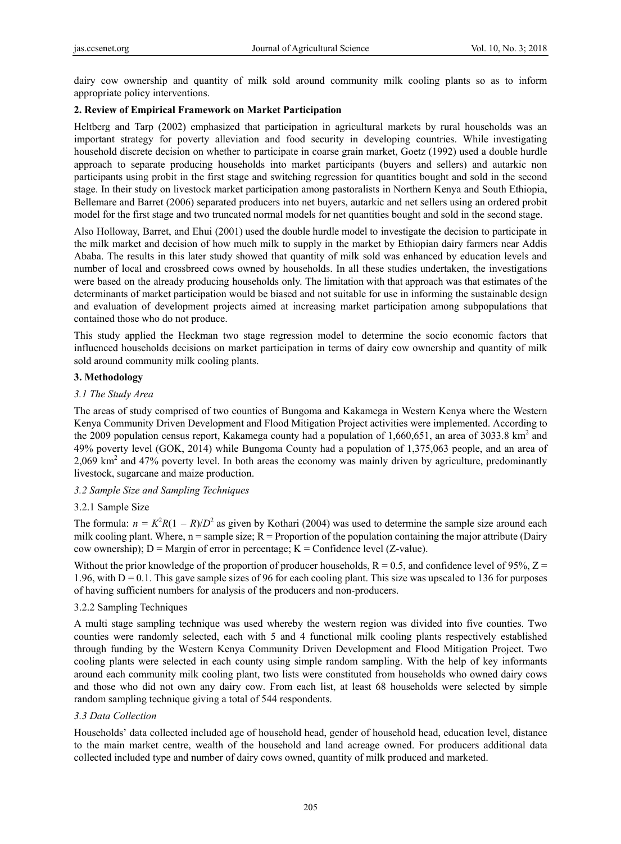dairy cow ownership and quantity of milk sold around community milk cooling plants so as to inform appropriate policy interventions.

# **2. Review of Empirical Framework on Market Participation**

Heltberg and Tarp (2002) emphasized that participation in agricultural markets by rural households was an important strategy for poverty alleviation and food security in developing countries. While investigating household discrete decision on whether to participate in coarse grain market, Goetz (1992) used a double hurdle approach to separate producing households into market participants (buyers and sellers) and autarkic non participants using probit in the first stage and switching regression for quantities bought and sold in the second stage. In their study on livestock market participation among pastoralists in Northern Kenya and South Ethiopia, Bellemare and Barret (2006) separated producers into net buyers, autarkic and net sellers using an ordered probit model for the first stage and two truncated normal models for net quantities bought and sold in the second stage.

Also Holloway, Barret, and Ehui (2001) used the double hurdle model to investigate the decision to participate in the milk market and decision of how much milk to supply in the market by Ethiopian dairy farmers near Addis Ababa. The results in this later study showed that quantity of milk sold was enhanced by education levels and number of local and crossbreed cows owned by households. In all these studies undertaken, the investigations were based on the already producing households only. The limitation with that approach was that estimates of the determinants of market participation would be biased and not suitable for use in informing the sustainable design and evaluation of development projects aimed at increasing market participation among subpopulations that contained those who do not produce.

This study applied the Heckman two stage regression model to determine the socio economic factors that influenced households decisions on market participation in terms of dairy cow ownership and quantity of milk sold around community milk cooling plants.

# **3. Methodology**

# *3.1 The Study Area*

The areas of study comprised of two counties of Bungoma and Kakamega in Western Kenya where the Western Kenya Community Driven Development and Flood Mitigation Project activities were implemented. According to the 2009 population census report, Kakamega county had a population of 1,660,651, an area of 3033.8 km<sup>2</sup> and 49% poverty level (GOK, 2014) while Bungoma County had a population of 1,375,063 people, and an area of 2,069 km<sup>2</sup> and 47% poverty level. In both areas the economy was mainly driven by agriculture, predominantly livestock, sugarcane and maize production.

# *3.2 Sample Size and Sampling Techniques*

# 3.2.1 Sample Size

The formula:  $n = K^2 R(1 - R)/D^2$  as given by Kothari (2004) was used to determine the sample size around each milk cooling plant. Where,  $n =$ sample size;  $R =$  Proportion of the population containing the major attribute (Dairy cow ownership);  $D =$  Margin of error in percentage;  $K =$  Confidence level (Z-value).

Without the prior knowledge of the proportion of producer households,  $R = 0.5$ , and confidence level of 95%,  $Z =$ 1.96, with  $D = 0.1$ . This gave sample sizes of 96 for each cooling plant. This size was upscaled to 136 for purposes of having sufficient numbers for analysis of the producers and non-producers.

# 3.2.2 Sampling Techniques

A multi stage sampling technique was used whereby the western region was divided into five counties. Two counties were randomly selected, each with 5 and 4 functional milk cooling plants respectively established through funding by the Western Kenya Community Driven Development and Flood Mitigation Project. Two cooling plants were selected in each county using simple random sampling. With the help of key informants around each community milk cooling plant, two lists were constituted from households who owned dairy cows and those who did not own any dairy cow. From each list, at least 68 households were selected by simple random sampling technique giving a total of 544 respondents.

# *3.3 Data Collection*

Households' data collected included age of household head, gender of household head, education level, distance to the main market centre, wealth of the household and land acreage owned. For producers additional data collected included type and number of dairy cows owned, quantity of milk produced and marketed.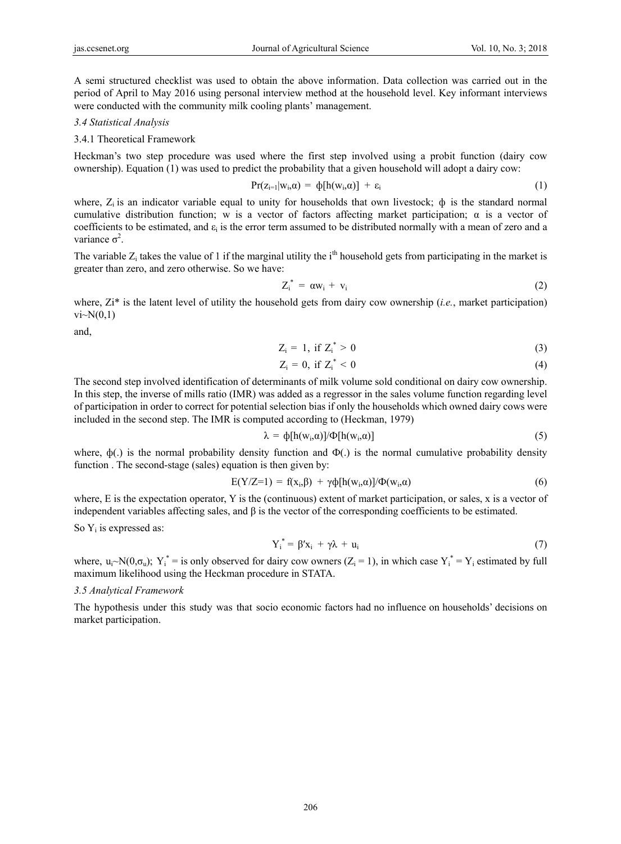A semi structured checklist was used to obtain the above information. Data collection was carried out in the period of April to May 2016 using personal interview method at the household level. Key informant interviews were conducted with the community milk cooling plants' management.

#### *3.4 Statistical Analysis*

3.4.1 Theoretical Framework

Heckman's two step procedure was used where the first step involved using a probit function (dairy cow ownership). Equation (1) was used to predict the probability that a given household will adopt a dairy cow:

$$
Pr(z_{i=1}|w_i,\alpha) = \varphi[h(w_i,\alpha)] + \varepsilon_i
$$
 (1)

where,  $Z_i$  is an indicator variable equal to unity for households that own livestock;  $\phi$  is the standard normal cumulative distribution function; w is a vector of factors affecting market participation;  $\alpha$  is a vector of coefficients to be estimated, and  $\varepsilon_i$  is the error term assumed to be distributed normally with a mean of zero and a variance  $\sigma^2$ .

The variable  $Z_i$  takes the value of 1 if the marginal utility the i<sup>th</sup> household gets from participating in the market is greater than zero, and zero otherwise. So we have:

$$
Z_i^* = \alpha w_i + v_i \tag{2}
$$

where, Zi<sup>\*</sup> is the latent level of utility the household gets from dairy cow ownership (*i.e.*, market participation)  $vi~N(0,1)$ 

and,

$$
Z_i = 1, \text{ if } Z_i^* > 0 \tag{3}
$$

$$
Z_i = 0, \text{ if } Z_i^* < 0 \tag{4}
$$

The second step involved identification of determinants of milk volume sold conditional on dairy cow ownership. In this step, the inverse of mills ratio (IMR) was added as a regressor in the sales volume function regarding level of participation in order to correct for potential selection bias if only the households which owned dairy cows were included in the second step. The IMR is computed according to (Heckman, 1979)

$$
\lambda = \phi[h(w_i, \alpha)]/\Phi[h(w_i, \alpha)] \tag{5}
$$

where,  $\phi(.)$  is the normal probability density function and  $\Phi(.)$  is the normal cumulative probability density function . The second-stage (sales) equation is then given by:

$$
E(Y/Z=1) = f(x_i, \beta) + \gamma \phi[h(w_i, \alpha)]/\Phi(w_i, \alpha)
$$
\n(6)

where, E is the expectation operator, Y is the (continuous) extent of market participation, or sales, x is a vector of independent variables affecting sales, and  $\beta$  is the vector of the corresponding coefficients to be estimated.

So  $Y_i$  is expressed as:

$$
Y_i^* = \beta' x_i + \gamma \lambda + u_i \tag{7}
$$

where,  $u_i \sim N(0, \sigma_u)$ ;  $Y_i^*$  = is only observed for dairy cow owners ( $Z_i = 1$ ), in which case  $Y_i^* = Y_i$  estimated by full maximum likelihood using the Heckman procedure in STATA.

#### *3.5 Analytical Framework*

The hypothesis under this study was that socio economic factors had no influence on households' decisions on market participation.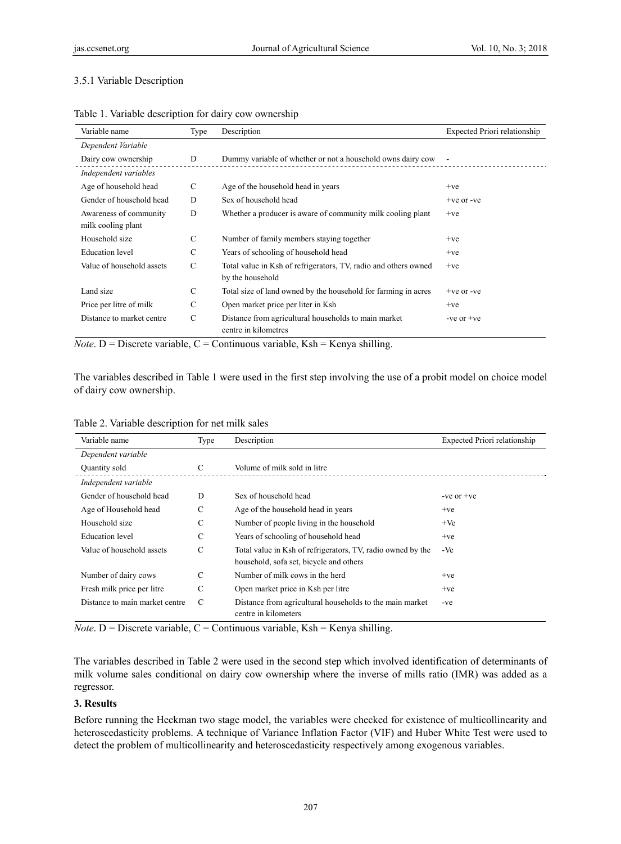# 3.5.1 Variable Description

| Variable name                                | Type | Description                                                                         | Expected Priori relationship |
|----------------------------------------------|------|-------------------------------------------------------------------------------------|------------------------------|
| Dependent Variable                           |      |                                                                                     |                              |
| Dairy cow ownership                          | D    | Dummy variable of whether or not a household owns dairy cow                         |                              |
| Independent variables                        |      |                                                                                     |                              |
| Age of household head                        | C    | Age of the household head in years                                                  | $+ve$                        |
| Gender of household head                     | D    | Sex of household head                                                               | $+ve$ or $-ve$               |
| Awareness of community<br>milk cooling plant | D    | Whether a producer is aware of community milk cooling plant                         | $+ve$                        |
| Household size                               | C    | Number of family members staying together                                           | $+ve$                        |
| <b>Education</b> level                       | C    | Years of schooling of household head                                                | $+ve$                        |
| Value of household assets                    | C    | Total value in Ksh of refrigerators, TV, radio and others owned<br>by the household | $+ve$                        |
| Land size                                    | C    | Total size of land owned by the household for farming in acres                      | $+ve$ or $-ve$               |
| Price per litre of milk                      | C    | Open market price per liter in Ksh                                                  | $+ve$                        |
| Distance to market centre                    | C    | Distance from agricultural households to main market<br>centre in kilometres        | -ve or $+ve$                 |

Table 1. Variable description for dairy cow ownership

*Note*. D = Discrete variable, C = Continuous variable, Ksh = Kenya shilling.

The variables described in Table 1 were used in the first step involving the use of a probit model on choice model of dairy cow ownership.

| Variable name                  | Type          | Description                                                                                            | Expected Priori relationship |
|--------------------------------|---------------|--------------------------------------------------------------------------------------------------------|------------------------------|
| Dependent variable             |               |                                                                                                        |                              |
| Quantity sold                  | C             | Volume of milk sold in litre                                                                           |                              |
| Independent variable           |               |                                                                                                        |                              |
| Gender of household head       | D             | Sex of household head                                                                                  | -ve or $+ve$                 |
| Age of Household head          | C             | Age of the household head in years                                                                     | $+ve$                        |
| Household size                 | С             | Number of people living in the household                                                               | $+Ve$                        |
| <b>Education</b> level         | C             | Years of schooling of household head                                                                   | $+ve$                        |
| Value of household assets      | $\mathcal{C}$ | Total value in Ksh of refrigerators, TV, radio owned by the<br>household, sofa set, bicycle and others | -Ve                          |
| Number of dairy cows           | C             | Number of milk cows in the herd                                                                        | $+ve$                        |
| Fresh milk price per litre     | C             | Open market price in Ksh per litre                                                                     | $+ve$                        |
| Distance to main market centre | C             | Distance from agricultural households to the main market<br>centre in kilometers                       | -ve                          |

*Note*. D = Discrete variable, C = Continuous variable, Ksh = Kenya shilling.

The variables described in Table 2 were used in the second step which involved identification of determinants of milk volume sales conditional on dairy cow ownership where the inverse of mills ratio (IMR) was added as a regressor.

# **3. Results**

Before running the Heckman two stage model, the variables were checked for existence of multicollinearity and heteroscedasticity problems. A technique of Variance Inflation Factor (VIF) and Huber White Test were used to detect the problem of multicollinearity and heteroscedasticity respectively among exogenous variables.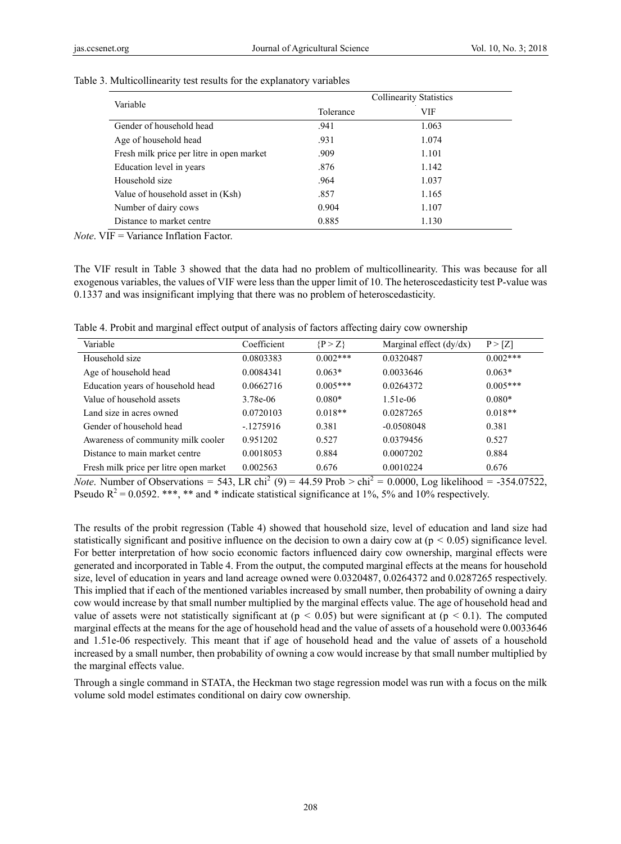| Variable                                  | <b>Collinearity Statistics</b> |            |  |  |
|-------------------------------------------|--------------------------------|------------|--|--|
|                                           | Tolerance                      | <b>VIF</b> |  |  |
| Gender of household head                  | .941                           | 1.063      |  |  |
| Age of household head                     | .931                           | 1.074      |  |  |
| Fresh milk price per litre in open market | .909                           | 1.101      |  |  |
| Education level in years                  | .876                           | 1.142      |  |  |
| Household size                            | .964                           | 1.037      |  |  |
| Value of household asset in (Ksh)         | .857                           | 1.165      |  |  |
| Number of dairy cows                      | 0.904                          | 1.107      |  |  |
| Distance to market centre                 | 0.885                          | 1.130      |  |  |

Table 3. Multicollinearity test results for the explanatory variables

*Note*. VIF = Variance Inflation Factor.

The VIF result in Table 3 showed that the data had no problem of multicollinearity. This was because for all exogenous variables, the values of VIF were less than the upper limit of 10. The heteroscedasticity test P-value was 0.1337 and was insignificant implying that there was no problem of heteroscedasticity.

Table 4. Probit and marginal effect output of analysis of factors affecting dairy cow ownership

| Variable                               | Coefficient | $\{P > Z\}$ | Marginal effect $(dy/dx)$ | P > [Z]    |
|----------------------------------------|-------------|-------------|---------------------------|------------|
| Household size                         | 0.0803383   | $0.002***$  | 0.0320487                 | $0.002***$ |
| Age of household head                  | 0.0084341   | $0.063*$    | 0.0033646                 | $0.063*$   |
| Education years of household head      | 0.0662716   | $0.005***$  | 0.0264372                 | $0.005***$ |
| Value of household assets              | 3.78e-06    | $0.080*$    | $1.51e-06$                | $0.080*$   |
| Land size in acres owned               | 0.0720103   | $0.018**$   | 0.0287265                 | $0.018**$  |
| Gender of household head               | $-1275916$  | 0.381       | $-0.0508048$              | 0.381      |
| Awareness of community milk cooler     | 0.951202    | 0.527       | 0.0379456                 | 0.527      |
| Distance to main market centre         | 0.0018053   | 0.884       | 0.0007202                 | 0.884      |
| Fresh milk price per litre open market | 0.002563    | 0.676       | 0.0010224                 | 0.676      |

*Note*. Number of Observations = 543, LR chi<sup>2</sup> (9) = 44.59 Prob > chi<sup>2</sup> = 0.0000, Log likelihood = -354.07522, Pseudo  $R^2 = 0.0592$ . \*\*\*, \*\* and \* indicate statistical significance at 1%, 5% and 10% respectively.

The results of the probit regression (Table 4) showed that household size, level of education and land size had statistically significant and positive influence on the decision to own a dairy cow at  $(p < 0.05)$  significance level. For better interpretation of how socio economic factors influenced dairy cow ownership, marginal effects were generated and incorporated in Table 4. From the output, the computed marginal effects at the means for household size, level of education in years and land acreage owned were 0.0320487, 0.0264372 and 0.0287265 respectively. This implied that if each of the mentioned variables increased by small number, then probability of owning a dairy cow would increase by that small number multiplied by the marginal effects value. The age of household head and value of assets were not statistically significant at ( $p < 0.05$ ) but were significant at ( $p < 0.1$ ). The computed marginal effects at the means for the age of household head and the value of assets of a household were 0.0033646 and 1.51e-06 respectively. This meant that if age of household head and the value of assets of a household increased by a small number, then probability of owning a cow would increase by that small number multiplied by the marginal effects value.

Through a single command in STATA, the Heckman two stage regression model was run with a focus on the milk volume sold model estimates conditional on dairy cow ownership.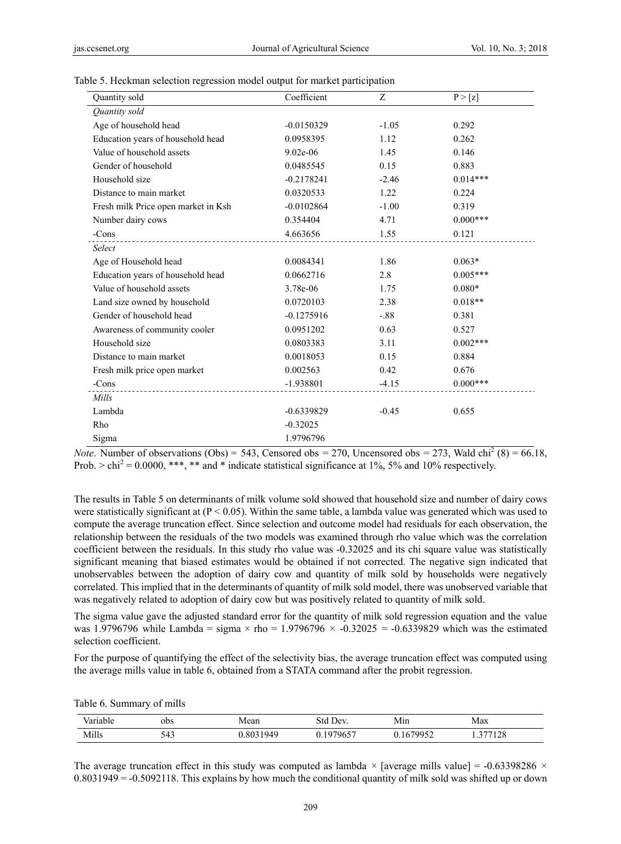| Quantity sold                            | Coefficient  | Z       | P > [z]     |
|------------------------------------------|--------------|---------|-------------|
| Quantity sold                            |              |         |             |
| Age of household head                    | $-0.0150329$ | $-1.05$ | 0.292       |
| Education years of household head        | 0.0958395    | 1.12    | 0.262       |
| Value of household assets                | $9.02e-06$   | 1.45    | 0.146       |
| Gender of household                      | 0.0485545    | 0.15    | 0.883       |
| Household size                           | $-0.2178241$ | $-2.46$ | $0.014***$  |
| Distance to main market                  | 0.0320533    | 1.22    | 0.224       |
| Fresh milk Price open market in Ksh      | $-0.0102864$ | $-1.00$ | 0.319       |
| Number dairy cows                        | 0.354404     | 4.71    | $0.000***$  |
| -Cons<br>------------------------------- | 4.663656     | 1.55    | 0.121       |
| Select                                   |              |         |             |
| Age of Household head                    | 0.0084341    | 1.86    | $0.063*$    |
| Education years of household head        | 0.0662716    | 2.8     | $0.005***$  |
| Value of household assets                | 3.78e-06     | 1.75    | $0.080*$    |
| Land size owned by household             | 0.0720103    | 2.38    | $0.018**$   |
| Gender of household head                 | $-0.1275916$ | $-.88$  | 0.381       |
| Awareness of community cooler            | 0.0951202    | 0.63    | 0.527       |
| Household size                           | 0.0803383    | 3.11    | $0.002***$  |
| Distance to main market                  | 0.0018053    | 0.15    | 0.884       |
| Fresh milk price open market             | 0.002563     | 0.42    | 0.676       |
| -Cons                                    | -1.938801    | $-4.15$ | $0.000$ *** |
| Mills                                    |              |         |             |
| Lambda                                   | $-0.6339829$ | $-0.45$ | 0.655       |
| Rho                                      | $-0.32025$   |         |             |
| Sigma                                    | 1.9796796    |         |             |

| Table 5. Heckman selection regression model output for market participation |  |  |  |  |
|-----------------------------------------------------------------------------|--|--|--|--|
|                                                                             |  |  |  |  |

*Note.* Number of observations (Obs) = 543, Censored obs = 270, Uncensored obs = 273, Wald chi<sup>2</sup> (8) = 66.18, Prob.  $>$  chi<sup>2</sup> = 0.0000, \*\*\*, \*\* and \* indicate statistical significance at 1%, 5% and 10% respectively.

The results in Table 5 on determinants of milk volume sold showed that household size and number of dairy cows were statistically significant at  $(P < 0.05)$ . Within the same table, a lambda value was generated which was used to compute the average truncation effect. Since selection and outcome model had residuals for each observation, the relationship between the residuals of the two models was examined through rho value which was the correlation coefficient between the residuals. In this study rho value was -0.32025 and its chi square value was statistically significant meaning that biased estimates would be obtained if not corrected. The negative sign indicated that unobservables between the adoption of dairy cow and quantity of milk sold by households were negatively correlated. This implied that in the determinants of quantity of milk sold model, there was unobserved variable that was negatively related to adoption of dairy cow but was positively related to quantity of milk sold.

The sigma value gave the adjusted standard error for the quantity of milk sold regression equation and the value was 1.9796796 while Lambda = sigma  $\times$  rho = 1.9796796  $\times$  -0.32025 = -0.6339829 which was the estimated selection coefficient.

For the purpose of quantifying the effect of the selectivity bias, the average truncation effect was computed using the average mills value in table 6, obtained from a STATA command after the probit regression.

|  | Table 6. Summary of mills |  |
|--|---------------------------|--|
|--|---------------------------|--|

| - -<br>variable | obs | Mean     | Std<br>' Dev. | Mın           | Max                  |  |
|-----------------|-----|----------|---------------|---------------|----------------------|--|
| Mills           | 543 | .8031949 | .1979657      | 670052<br>ے ۔ | $277120$<br>128<br>. |  |

The average truncation effect in this study was computed as lambda  $\times$  [average mills value] = -0.63398286  $\times$ 0.8031949 = -0.5092118. This explains by how much the conditional quantity of milk sold was shifted up or down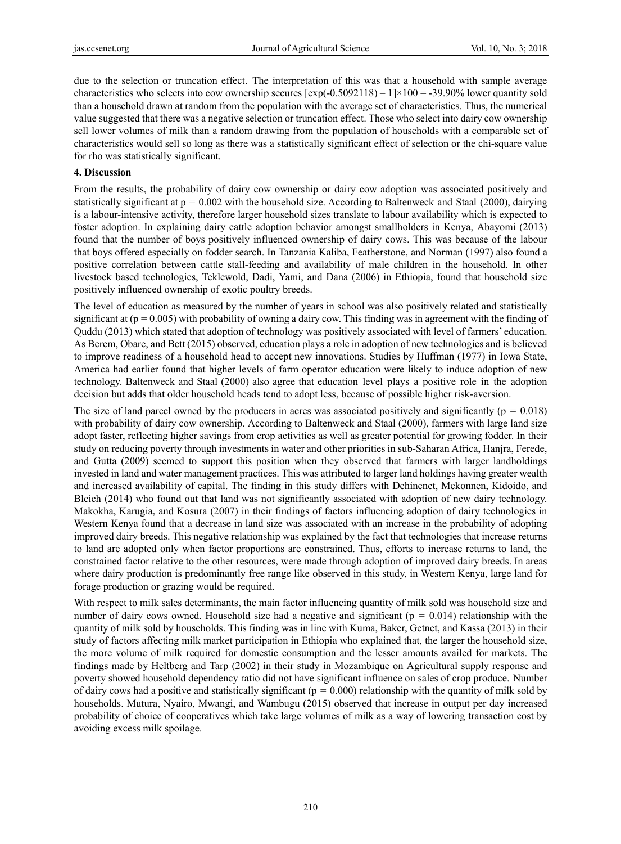due to the selection or truncation effect. The interpretation of this was that a household with sample average characteristics who selects into cow ownership secures  $[\exp(-0.5092118) - 1] \times 100 = -39.90\%$  lower quantity sold than a household drawn at random from the population with the average set of characteristics. Thus, the numerical value suggested that there was a negative selection or truncation effect. Those who select into dairy cow ownership sell lower volumes of milk than a random drawing from the population of households with a comparable set of characteristics would sell so long as there was a statistically significant effect of selection or the chi-square value for rho was statistically significant.

#### **4. Discussion**

From the results, the probability of dairy cow ownership or dairy cow adoption was associated positively and statistically significant at  $p = 0.002$  with the household size. According to Baltenweck and Staal (2000), dairying is a labour-intensive activity, therefore larger household sizes translate to labour availability which is expected to foster adoption. In explaining dairy cattle adoption behavior amongst smallholders in Kenya, Abayomi (2013) found that the number of boys positively influenced ownership of dairy cows. This was because of the labour that boys offered especially on fodder search. In Tanzania Kaliba, Featherstone, and Norman (1997) also found a positive correlation between cattle stall-feeding and availability of male children in the household. In other livestock based technologies, Teklewold, Dadi, Yami, and Dana (2006) in Ethiopia, found that household size positively influenced ownership of exotic poultry breeds.

The level of education as measured by the number of years in school was also positively related and statistically significant at  $(p = 0.005)$  with probability of owning a dairy cow. This finding was in agreement with the finding of Quddu (2013) which stated that adoption of technology was positively associated with level of farmers' education. As Berem, Obare, and Bett (2015) observed, education plays a role in adoption of new technologies and is believed to improve readiness of a household head to accept new innovations. Studies by Huffman (1977) in Iowa State, America had earlier found that higher levels of farm operator education were likely to induce adoption of new technology. Baltenweck and Staal (2000) also agree that education level plays a positive role in the adoption decision but adds that older household heads tend to adopt less, because of possible higher risk-aversion.

The size of land parcel owned by the producers in acres was associated positively and significantly ( $p = 0.018$ ) with probability of dairy cow ownership. According to Baltenweck and Staal (2000), farmers with large land size adopt faster, reflecting higher savings from crop activities as well as greater potential for growing fodder. In their study on reducing poverty through investments in water and other priorities in sub-Saharan Africa, Hanjra, Ferede, and Gutta (2009) seemed to support this position when they observed that farmers with larger landholdings invested in land and water management practices. This was attributed to larger land holdings having greater wealth and increased availability of capital. The finding in this study differs with Dehinenet, Mekonnen, Kidoido, and Bleich (2014) who found out that land was not significantly associated with adoption of new dairy technology. Makokha, Karugia, and Kosura (2007) in their findings of factors influencing adoption of dairy technologies in Western Kenya found that a decrease in land size was associated with an increase in the probability of adopting improved dairy breeds. This negative relationship was explained by the fact that technologies that increase returns to land are adopted only when factor proportions are constrained. Thus, efforts to increase returns to land, the constrained factor relative to the other resources, were made through adoption of improved dairy breeds. In areas where dairy production is predominantly free range like observed in this study, in Western Kenya, large land for forage production or grazing would be required.

With respect to milk sales determinants, the main factor influencing quantity of milk sold was household size and number of dairy cows owned. Household size had a negative and significant ( $p = 0.014$ ) relationship with the quantity of milk sold by households. This finding was in line with Kuma, Baker, Getnet, and Kassa (2013) in their study of factors affecting milk market participation in Ethiopia who explained that, the larger the household size, the more volume of milk required for domestic consumption and the lesser amounts availed for markets. The findings made by Heltberg and Tarp (2002) in their study in Mozambique on Agricultural supply response and poverty showed household dependency ratio did not have significant influence on sales of crop produce. Number of dairy cows had a positive and statistically significant ( $p = 0.000$ ) relationship with the quantity of milk sold by households. Mutura, Nyairo, Mwangi, and Wambugu (2015) observed that increase in output per day increased probability of choice of cooperatives which take large volumes of milk as a way of lowering transaction cost by avoiding excess milk spoilage.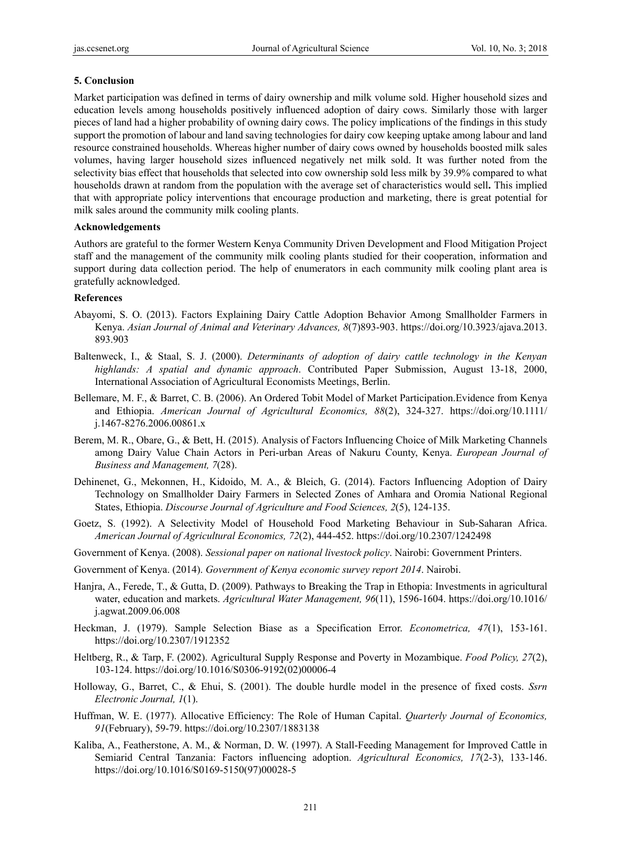## **5. Conclusion**

Market participation was defined in terms of dairy ownership and milk volume sold. Higher household sizes and education levels among households positively influenced adoption of dairy cows. Similarly those with larger pieces of land had a higher probability of owning dairy cows. The policy implications of the findings in this study support the promotion of labour and land saving technologies for dairy cow keeping uptake among labour and land resource constrained households. Whereas higher number of dairy cows owned by households boosted milk sales volumes, having larger household sizes influenced negatively net milk sold. It was further noted from the selectivity bias effect that households that selected into cow ownership sold less milk by 39.9% compared to what households drawn at random from the population with the average set of characteristics would sell**.** This implied that with appropriate policy interventions that encourage production and marketing, there is great potential for milk sales around the community milk cooling plants.

## **Acknowledgements**

Authors are grateful to the former Western Kenya Community Driven Development and Flood Mitigation Project staff and the management of the community milk cooling plants studied for their cooperation, information and support during data collection period. The help of enumerators in each community milk cooling plant area is gratefully acknowledged.

## **References**

- Abayomi, S. O. (2013). Factors Explaining Dairy Cattle Adoption Behavior Among Smallholder Farmers in Kenya. *Asian Journal of Animal and Veterinary Advances, 8*(7)893-903. https://doi.org/10.3923/ajava.2013. 893.903
- Baltenweck, I., & Staal, S. J. (2000). *Determinants of adoption of dairy cattle technology in the Kenyan highlands: A spatial and dynamic approach*. Contributed Paper Submission, August 13-18, 2000, International Association of Agricultural Economists Meetings, Berlin.
- Bellemare, M. F., & Barret, C. B. (2006). An Ordered Tobit Model of Market Participation.Evidence from Kenya and Ethiopia. *American Journal of Agricultural Economics, 88*(2), 324-327. https://doi.org/10.1111/ j.1467-8276.2006.00861.x
- Berem, M. R., Obare, G., & Bett, H. (2015). Analysis of Factors Influencing Choice of Milk Marketing Channels among Dairy Value Chain Actors in Peri-urban Areas of Nakuru County, Kenya. *European Journal of Business and Management, 7*(28).
- Dehinenet, G., Mekonnen, H., Kidoido, M. A., & Bleich, G. (2014). Factors Influencing Adoption of Dairy Technology on Smallholder Dairy Farmers in Selected Zones of Amhara and Oromia National Regional States, Ethiopia. *Discourse Journal of Agriculture and Food Sciences, 2*(5), 124-135.
- Goetz, S. (1992). A Selectivity Model of Household Food Marketing Behaviour in Sub-Saharan Africa. *American Journal of Agricultural Economics, 72*(2), 444-452. https://doi.org/10.2307/1242498
- Government of Kenya. (2008). *Sessional paper on national livestock policy*. Nairobi: Government Printers.
- Government of Kenya. (2014). *Government of Kenya economic survey report 2014*. Nairobi.
- Hanjra, A., Ferede, T., & Gutta, D. (2009). Pathways to Breaking the Trap in Ethopia: Investments in agricultural water, education and markets. *Agricultural Water Management, 96*(11), 1596-1604. https://doi.org/10.1016/ j.agwat.2009.06.008
- Heckman, J. (1979). Sample Selection Biase as a Specification Error. *Econometrica, 47*(1), 153-161. https://doi.org/10.2307/1912352
- Heltberg, R., & Tarp, F. (2002). Agricultural Supply Response and Poverty in Mozambique. *Food Policy, 27*(2), 103-124. https://doi.org/10.1016/S0306-9192(02)00006-4
- Holloway, G., Barret, C., & Ehui, S. (2001). The double hurdle model in the presence of fixed costs. *Ssrn Electronic Journal, 1*(1).
- Huffman, W. E. (1977). Allocative Efficiency: The Role of Human Capital. *Quarterly Journal of Economics, 91*(February), 59-79. https://doi.org/10.2307/1883138
- Kaliba, A., Featherstone, A. M., & Norman, D. W. (1997). A Stall-Feeding Management for Improved Cattle in Semiarid Central Tanzania: Factors influencing adoption. *Agricultural Economics, 17*(2-3), 133-146. https://doi.org/10.1016/S0169-5150(97)00028-5